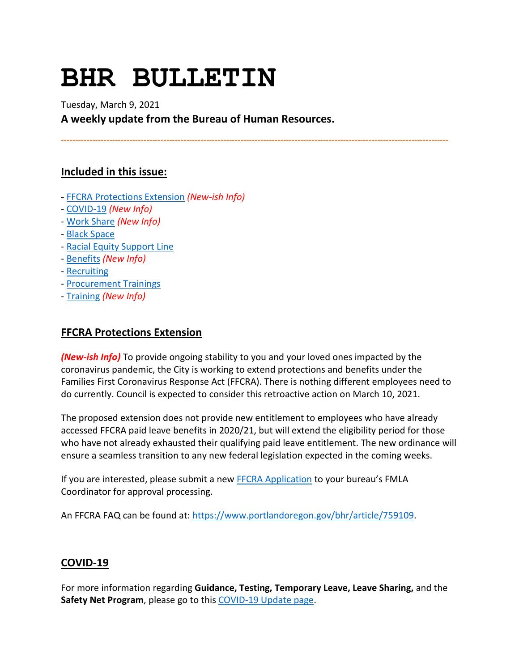# **BHR BULLETIN**

Tuesday, March 9, 2021 **A weekly update from the Bureau of Human Resources.**

**----------------------------------------------------------------------------------------------------------------------------------------**

# **Included in this issue:**

- [FFCRA Protections Extension](#page-0-0) *(New-ish Info)*
- [COVID-19](#page-0-1) *(New Info)*
- [Work Share](#page-2-0) *(New Info)*
- [Black Space](#page-3-0)
- [Racial Equity Support Line](#page-4-0)
- [Benefits](#page-4-1) *(New Info)*
- [Recruiting](#page-6-0)
- [Procurement Trainings](#page-6-1)
- [Training](#page-7-0) *(New Info)*

# <span id="page-0-0"></span>**FFCRA Protections Extension**

*(New-ish Info)* To provide ongoing stability to you and your loved ones impacted by the coronavirus pandemic, the City is working to extend protections and benefits under the Families First Coronavirus Response Act (FFCRA). There is nothing different employees need to do currently. Council is expected to consider this retroactive action on March 10, 2021.

The proposed extension does not provide new entitlement to employees who have already accessed FFCRA paid leave benefits in 2020/21, but will extend the eligibility period for those who have not already exhausted their qualifying paid leave entitlement. The new ordinance will ensure a seamless transition to any new federal legislation expected in the coming weeks.

If you are interested, please submit a new [FFCRA Application](https://www.portlandoregon.gov/bhr/80750) to your bureau's FMLA Coordinator for approval processing.

An FFCRA FAQ can be found at: [https://www.portlandoregon.gov/bhr/article/759109.](https://www.portlandoregon.gov/bhr/article/759109)

# <span id="page-0-1"></span>**COVID-19**

For more information regarding **Guidance, Testing, Temporary Leave, Leave Sharing,** and the **Safety Net Program**, please go to thi[s COVID-19 Update page.](https://www.portlandoregon.gov/bhr/article/779927)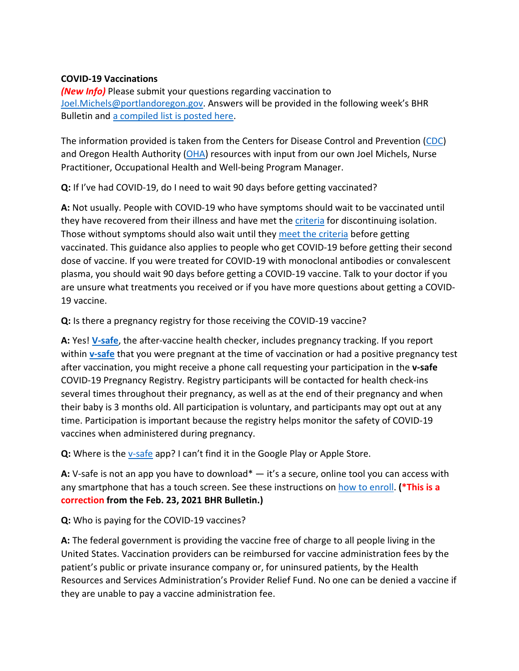## **COVID-19 Vaccinations**

*(New Info)* Please submit your questions regarding vaccination to [Joel.Michels@portlandoregon.gov.](mailto:Joel.Michels@portlandoregon.gov) Answers will be provided in the following week's BHR Bulletin and [a compiled list is posted here.](https://www.portlandoregon.gov/bhr/article/782081)

The information provided is taken from the Centers for Disease Control and Prevention [\(CDC\)](https://www.cdc.gov/coronavirus/2019-ncov/vaccines/index.html) and Oregon Health Authority [\(OHA\)](https://covidvaccine.oregon.gov/) resources with input from our own Joel Michels, Nurse Practitioner, Occupational Health and Well-being Program Manager.

**Q:** If I've had COVID-19, do I need to wait 90 days before getting vaccinated?

**A:** Not usually. People with COVID-19 who have symptoms should wait to be vaccinated until they have recovered from their illness and have met the [criteria](https://www.cdc.gov/coronavirus/2019-ncov/hcp/disposition-in-home-patients.html) for discontinuing isolation. Those without symptoms should also wait until they [meet the criteria](https://www.cdc.gov/coronavirus/2019-ncov/if-you-are-sick/quarantine.html) before getting vaccinated. This guidance also applies to people who get COVID-19 before getting their second dose of vaccine. If you were treated for COVID-19 with monoclonal antibodies or convalescent plasma, you should wait 90 days before getting a COVID-19 vaccine. Talk to your doctor if you are unsure what treatments you received or if you have more questions about getting a COVID-19 vaccine.

**Q:** Is there a pregnancy registry for those receiving the COVID-19 vaccine?

**A:** Yes! **[V-safe](https://www.cdc.gov/coronavirus/2019-ncov/vaccines/safety/vsafe.html#:%7E:text=V-safe%20is%20a%20smartphone-based%20tool%20that%20uses%20text,any%20side%20effects%20after%20getting%20the%20COVID-19%20vaccine.)**, the after-vaccine health checker, includes pregnancy tracking. If you report within **[v-safe](https://www.cdc.gov/coronavirus/2019-ncov/vaccines/safety/vsafe.html#:%7E:text=V-safe%20is%20a%20smartphone-based%20tool%20that%20uses%20text,any%20side%20effects%20after%20getting%20the%20COVID-19%20vaccine.)** that you were pregnant at the time of vaccination or had a positive pregnancy test after vaccination, you might receive a phone call requesting your participation in the **v-safe**  COVID-19 Pregnancy Registry. Registry participants will be contacted for health check-ins several times throughout their pregnancy, as well as at the end of their pregnancy and when their baby is 3 months old. All participation is voluntary, and participants may opt out at any time. Participation is important because the registry helps monitor the safety of COVID-19 vaccines when administered during pregnancy.

Q: Where is the **y-safe app?** I can't find it in the Google Play or Apple Store.

**A:** V-safe is not an app you have to download\* — it's a secure, online tool you can access with any smartphone that has a touch screen. See these instructions on [how to enroll.](https://www.cdc.gov/coronavirus/2019-ncov/downloads/vaccines/v-safe-information-sheet-508c.pdf) **(\*This is a correction from the Feb. 23, 2021 BHR Bulletin.)**

**Q:** Who is paying for the COVID-19 vaccines?

**A:** The federal government is providing the vaccine free of charge to all people living in the United States. Vaccination providers can be reimbursed for vaccine administration fees by the patient's public or private insurance company or, for uninsured patients, by the Health Resources and Services Administration's Provider Relief Fund. No one can be denied a vaccine if they are unable to pay a vaccine administration fee.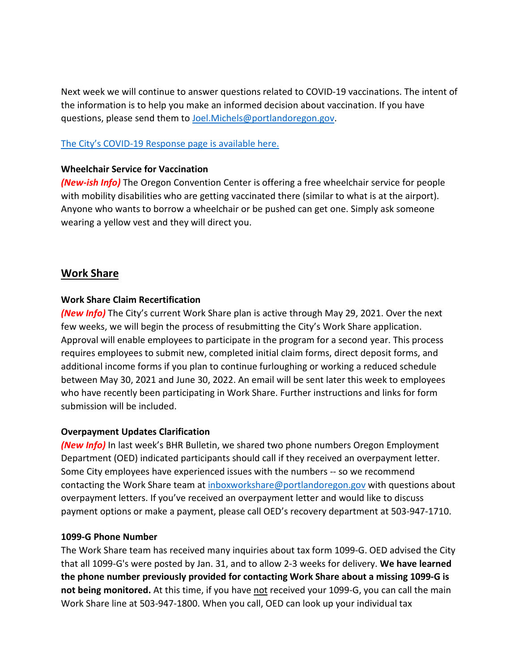Next week we will continue to answer questions related to COVID-19 vaccinations. The intent of the information is to help you make an informed decision about vaccination. If you have questions, please send them to [Joel.Michels@portlandoregon.gov.](mailto:Joel.Michels@portlandoregon.gov)

## [The City's COVID-19 Response page](https://www.portlandoregon.gov/bhr/index.cfm?&c=81055) is available here[.](https://www.portlandoregon.gov/bhr/index.cfm?&c=81055)

## **Wheelchair Service for Vaccination**

*(New-ish Info)* The Oregon Convention Center is offering a free wheelchair service for people with mobility disabilities who are getting vaccinated there (similar to what is at the airport). Anyone who wants to borrow a wheelchair or be pushed can get one. Simply ask someone wearing a yellow vest and they will direct you.

# <span id="page-2-0"></span>**Work Share**

## **Work Share Claim Recertification**

*(New Info)* The City's current Work Share plan is active through May 29, 2021. Over the next few weeks, we will begin the process of resubmitting the City's Work Share application. Approval will enable employees to participate in the program for a second year. This process requires employees to submit new, completed initial claim forms, direct deposit forms, and additional income forms if you plan to continue furloughing or working a reduced schedule between May 30, 2021 and June 30, 2022. An email will be sent later this week to employees who have recently been participating in Work Share. Further instructions and links for form submission will be included.

#### **Overpayment Updates Clarification**

*(New Info)* In last week's BHR Bulletin, we shared two phone numbers Oregon Employment Department (OED) indicated participants should call if they received an overpayment letter. Some City employees have experienced issues with the numbers -- so we recommend contacting the Work Share team at [inboxworkshare@portlandoregon.gov](mailto:inboxworkshare@portlandoregon.gov) with questions about overpayment letters. If you've received an overpayment letter and would like to discuss payment options or make a payment, please call OED's recovery department at 503-947-1710.

#### **1099-G Phone Number**

The Work Share team has received many inquiries about tax form 1099-G. OED advised the City that all 1099-G's were posted by Jan. 31, and to allow 2-3 weeks for delivery. **We have learned the phone number previously provided for contacting Work Share about a missing 1099-G is not being monitored.** At this time, if you have not received your 1099-G, you can call the main Work Share line at 503-947-1800. When you call, OED can look up your individual tax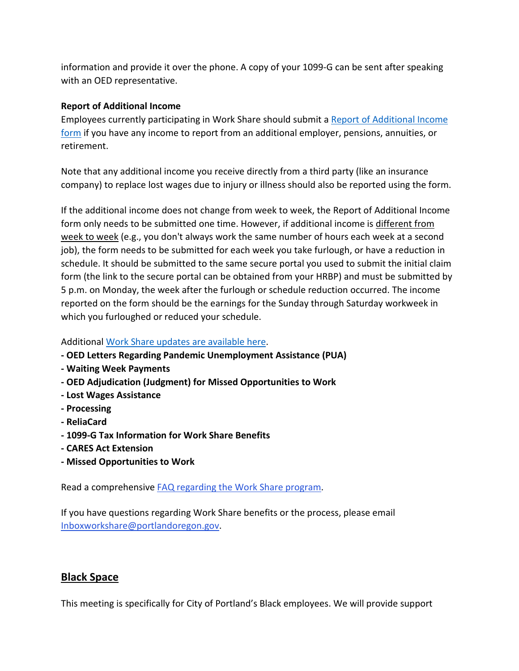information and provide it over the phone. A copy of your 1099-G can be sent after speaking with an OED representative.

# **Report of Additional Income**

Employees currently participating in Work Share should submit [a Report of Additional Income](https://www.portlandoregon.gov/bhr/article/761893)  [form](https://www.portlandoregon.gov/bhr/article/761893) if you have any income to report from an additional employer, pensions, annuities, or retirement.

Note that any additional income you receive directly from a third party (like an insurance company) to replace lost wages due to injury or illness should also be reported using the form.

If the additional income does not change from week to week, the Report of Additional Income form only needs to be submitted one time. However, if additional income is different from week to week (e.g., you don't always work the same number of hours each week at a second job), the form needs to be submitted for each week you take furlough, or have a reduction in schedule. It should be submitted to the same secure portal you used to submit the initial claim form (the link to the secure portal can be obtained from your HRBP) and must be submitted by 5 p.m. on Monday, the week after the furlough or schedule reduction occurred. The income reported on the form should be the earnings for the Sunday through Saturday workweek in which you furloughed or reduced your schedule.

# Additional [Work Share updates are available here.](https://www.portlandoregon.gov/bhr/index.cfm?&a=781673)

- **- OED Letters Regarding Pandemic Unemployment Assistance (PUA)**
- **- Waiting Week Payments**
- **- OED Adjudication (Judgment) for Missed Opportunities to Work**
- **- Lost Wages Assistance**
- **- Processing**
- **- ReliaCard**
- **- 1099-G Tax Information for Work Share Benefits**
- **- CARES Act Extension**
- **- Missed Opportunities to Work**

Read a comprehensive [FAQ regarding the Work Share program.](https://www.portlandoregon.gov/bhr/article/761976)

If you have questions regarding Work Share benefits or the process, please email [Inboxworkshare@portlandoregon.gov.](mailto:Inboxworkshare@portlandoregon.gov)

# <span id="page-3-0"></span>**Black Space**

This meeting is specifically for City of Portland's Black employees. We will provide support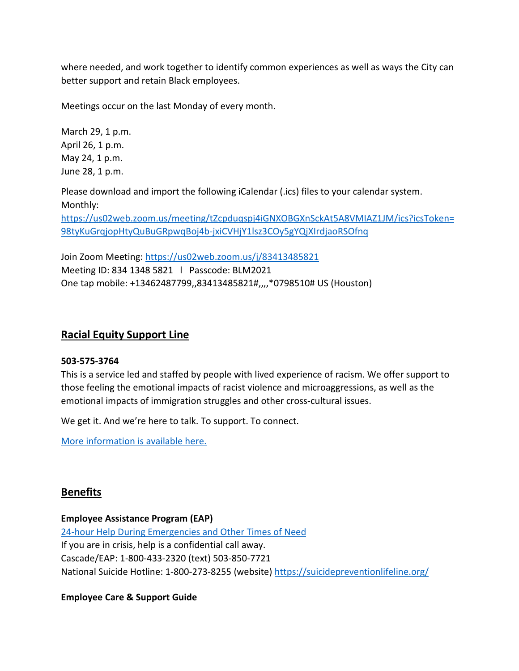where needed, and work together to identify common experiences as well as ways the City can better support and retain Black employees.

Meetings occur on the last Monday of every month.

March 29, 1 p.m. April 26, 1 p.m. May 24, 1 p.m. June 28, 1 p.m.

Please download and import the following iCalendar (.ics) files to your calendar system. Monthly: [https://us02web.zoom.us/meeting/tZcpduqspj4iGNXOBGXnSckAt5A8VMIAZ1JM/ics?icsToken=](https://us02web.zoom.us/meeting/tZcpduqspj4iGNXOBGXnSckAt5A8VMIAZ1JM/ics?icsToken=98tyKuGrqjopHtyQuBuGRpwqBoj4b-jxiCVHjY1lsz3COy5gYQjXIrdjaoRSOfnq) [98tyKuGrqjopHtyQuBuGRpwqBoj4b-jxiCVHjY1lsz3COy5gYQjXIrdjaoRSOfnq](https://us02web.zoom.us/meeting/tZcpduqspj4iGNXOBGXnSckAt5A8VMIAZ1JM/ics?icsToken=98tyKuGrqjopHtyQuBuGRpwqBoj4b-jxiCVHjY1lsz3COy5gYQjXIrdjaoRSOfnq)

Join Zoom Meeting:<https://us02web.zoom.us/j/83413485821> Meeting ID: 834 1348 5821 l Passcode: BLM2021 One tap mobile: +13462487799,,83413485821#,,,,\*0798510# US (Houston)

# <span id="page-4-0"></span>**Racial Equity Support Line**

#### **503-575-3764**

This is a service led and staffed by people with lived experience of racism. We offer support to those feeling the emotional impacts of racist violence and microaggressions, as well as the emotional impacts of immigration struggles and other cross-cultural issues.

We get it. And we're here to talk. To support. To connect.

[More information is available here.](https://www.linesforlife.org/racial-equity-support-line/?fbclid=IwAR189nJCJbrA3RHn8r_cUZ29iBier77c2vNBIjGUew7aTDyc1DaC0SrDa7Q)

# <span id="page-4-1"></span>**Benefits**

#### **Employee Assistance Program (EAP)**

[24-hour Help During Emergencies and Other Times of Need](https://www.portlandoregon.gov/bhr/76512) If you are in crisis, help is a confidential call away. Cascade/EAP: 1-800-433-2320 (text) 503-850-7721 National Suicide Hotline: 1-800-273-8255 (website)<https://suicidepreventionlifeline.org/>

# **Employee Care & Support Guide**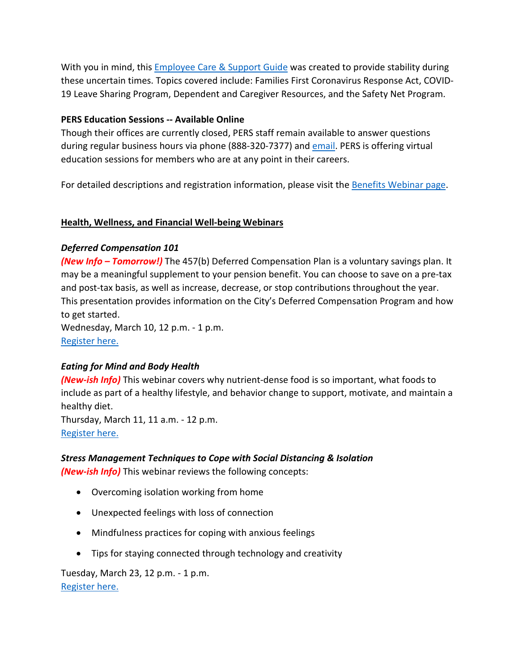With you in mind, this [Employee Care & Support Guide](https://www.portlandoregon.gov/bhr/article/778673) was created to provide stability during these uncertain times. Topics covered include: Families First Coronavirus Response Act, COVID-19 Leave Sharing Program, Dependent and Caregiver Resources, and the Safety Net Program.

## **PERS Education Sessions -- Available Online**

Though their offices are currently closed, PERS staff remain available to answer questions during regular business hours via phone (888-320-7377) and [email.](https://www.oregon.gov/pers/Pages/Submit-a-Question.aspx) PERS is offering virtual education sessions for members who are at any point in their careers.

For detailed descriptions and registration information, please visit the [Benefits Webinar page.](https://www.portlandoregon.gov/bhr/article/382692)

#### **Health, Wellness, and Financial Well-being Webinars**

#### *Deferred Compensation 101*

*(New Info – Tomorrow!)* The 457(b) Deferred Compensation Plan is a voluntary savings plan. It may be a meaningful supplement to your pension benefit. You can choose to save on a pre-tax and post-tax basis, as well as increase, decrease, or stop contributions throughout the year. This presentation provides information on the City's Deferred Compensation Program and how to get started. Wednesday, March 10, 12 p.m. - 1 p.m.

[Register here.](https://voyafa.zoom.us/webinar/register/WN_Z66kU_uISC-uRu3x5sLBXg)

# *Eating for Mind and Body Health*

*(New-ish Info)* This webinar covers why nutrient-dense food is so important, what foods to include as part of a healthy lifestyle, and behavior change to support, motivate, and maintain a healthy diet.

Thursday, March 11, 11 a.m. - 12 p.m. [Register here.](https://register.gotowebinar.com/register/7962085277678624524)

#### *Stress Management Techniques to Cope with Social Distancing & Isolation*

*(New-ish Info)* This webinar reviews the following concepts:

- Overcoming isolation working from home
- Unexpected feelings with loss of connection
- Mindfulness practices for coping with anxious feelings
- Tips for staying connected through technology and creativity

Tuesday, March 23, 12 p.m. - 1 p.m. [Register here.](https://register.gotowebinar.com/register/7407281605907538444)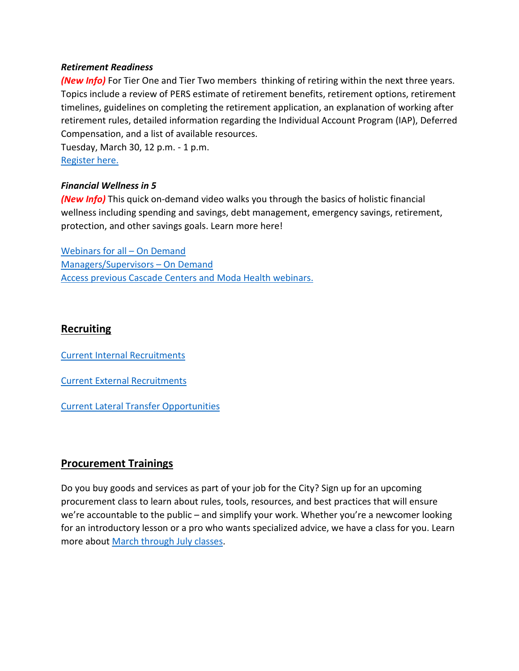#### *Retirement Readiness*

*(New Info)* For Tier One and Tier Two members thinking of retiring within the next three years. Topics include a review of PERS estimate of retirement benefits, retirement options, retirement timelines, guidelines on completing the retirement application, an explanation of working after retirement rules, detailed information regarding the Individual Account Program (IAP), Deferred Compensation, and a list of available resources.

Tuesday, March 30, 12 p.m. - 1 p.m. [Register here.](https://voyafa.zoom.us/webinar/register/WN_4B2UJmu2TQegP86KamZrnQ)

## *Financial Wellness in 5*

*(New Info)* This quick on-demand video walks you through the basics of holistic financial wellness including spending and savings, debt management, emergency savings, retirement, protection, and other savings goals. Learn more here!

[Webinars for all –](https://cascade-gateway.lifeadvantages.net/module.php/core/loginuserpass.php?AuthState=_54053a42037fedce99b58e843ab56485fa3781fcb0%3Ahttps%3A%2F%2Fcascade-gateway.lifeadvantages.net%2Fsaml2%2Fidp%2FSSOService.php%3Fspentityid%3Dhttps%253A%252F%252Fsaml-01.personaladvantage.com%252Fsp%26cookieTime%3D1615309870%26RelayState%3Dss%253Amem%253A1d8e1b0ec14601a8153ab04497bc5fd0f0d50a5926308558f40d35a41079c199) On Demand [Managers/Supervisors –](https://www.portlandoregon.gov/bhr/article/750308) On Deman[d](https://www.portlandoregon.gov/bhr/article/750308) [Access previous Cascade Centers and Moda Health webinars.](https://www.portlandoregon.gov/bhr/index.cfm?&c=79368)

# <span id="page-6-0"></span>**Recruiting**

[Current Internal Recruitments](https://www.governmentjobs.com/careers/portlandor/promotionaljobs)

[Current External Recruitments](https://www.governmentjobs.com/careers/portlandor?)

[Current Lateral Transfer Opportunities](https://www.governmentjobs.com/careers/portlandor/transferjobs)

# <span id="page-6-1"></span>**Procurement Trainings**

Do you buy goods and services as part of your job for the City? Sign up for an upcoming procurement class to learn about rules, tools, resources, and best practices that will ensure we're accountable to the public – and simplify your work. Whether you're a newcomer looking for an introductory lesson or a pro who wants specialized advice, we have a class for you. Learn more about [March through July classes.](https://www.portlandoregon.gov/brfs/index.cfm?&a=780678)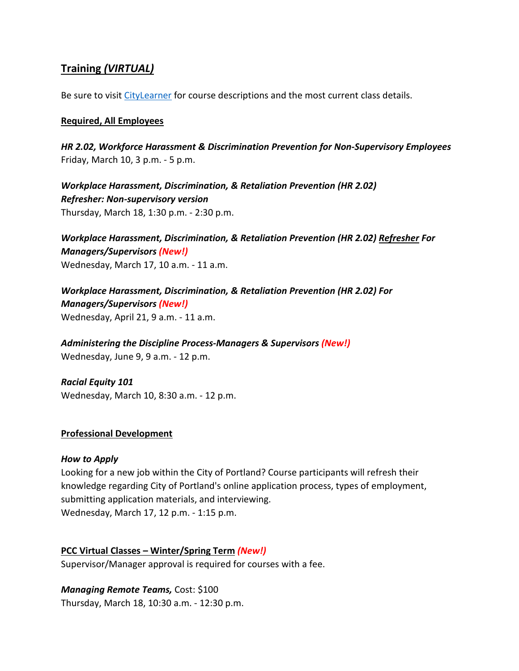# <span id="page-7-0"></span>**Training** *(VIRTUAL)*

Be sure to visit [CityLearner](https://www.portlandoregon.gov/bhr/article/446111) for course descriptions and the most current class details.

#### **Required, All Employees**

*HR 2.02, Workforce Harassment & Discrimination Prevention for Non-Supervisory Employees* Friday, March 10, 3 p.m. - 5 p.m.

*Workplace Harassment, Discrimination, & Retaliation Prevention (HR 2.02) Refresher: Non-supervisory version*  Thursday, March 18, 1:30 p.m. - 2:30 p.m.

*Workplace Harassment, Discrimination, & Retaliation Prevention (HR 2.02) Refresher For Managers/Supervisors (New!)* Wednesday, March 17, 10 a.m. - 11 a.m.

*Workplace Harassment, Discrimination, & Retaliation Prevention (HR 2.02) For Managers/Supervisors (New!)* Wednesday, April 21, 9 a.m. - 11 a.m.

*Administering the Discipline Process-Managers & Supervisors (New!)* Wednesday, June 9, 9 a.m. - 12 p.m.

*Racial Equity 101* Wednesday, March 10, 8:30 a.m. - 12 p.m.

# **Professional Development**

# *How to Apply*

Looking for a new job within the City of Portland? Course participants will refresh their knowledge regarding City of Portland's online application process, types of employment, submitting application materials, and interviewing. Wednesday, March 17, 12 p.m. - 1:15 p.m.

#### **PCC Virtual Classes – Winter/Spring Term** *(New!)*

Supervisor/Manager approval is required for courses with a fee.

*Managing Remote Teams,* Cost: \$100 Thursday, March 18, 10:30 a.m. - 12:30 p.m.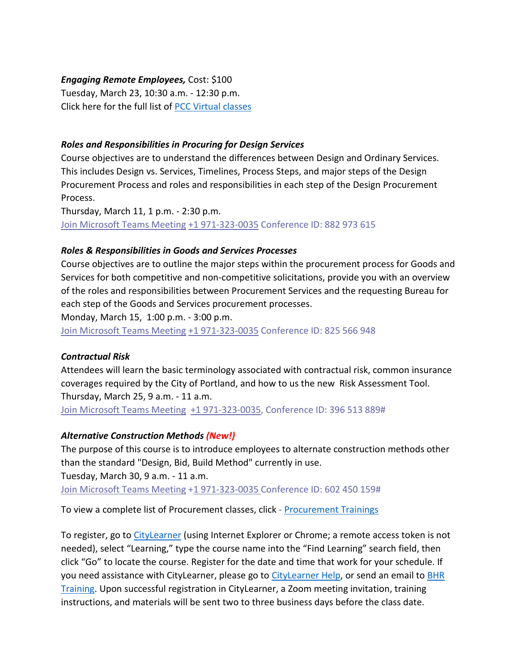## *Engaging Remote Employees,* Cost: \$100

Tuesday, March 23, 10:30 a.m. - 12:30 p.m. Click here for the full list of [PCC Virtual classes](https://www.portlandoregon.gov/bhr/article/503337)

## *Roles and Responsibilities in Procuring for Design Services*

Course objectives are to understand the differences between Design and Ordinary Services. This includes Design vs. Services, Timelines, Process Steps, and major steps of the Design Procurement Process and roles and responsibilities in each step of the Design Procurement Process.

Thursday, March 11, 1 p.m. - 2:30 p.m. [Join Microsoft Teams Meeting](https://teams.microsoft.com/l/meetup-join/19%3ameeting_NjIxOTQ5ZjAtMGMzYi00ODQ1LWIwMjQtNjU4Yjg4YzFkOTY5%40thread.v2/0?context=%7b%22Tid%22%3a%22636d7808-73c9-41a7-97aa-8c4733642141%22%2c%22Oid%22%3a%2286b2ae6e-2fe6-44ca-9974-4b60b2e2cd99%22%7d) [+1 971-323-0035](tel:+1%20971-323-0035,,882973615) Conference ID: 882 973 615

## *Roles & Responsibilities in Goods and Services Processes*

Course objectives are to outline the major steps within the procurement process for Goods and Services for both competitive and non-competitive solicitations, provide you with an overview of the roles and responsibilities between Procurement Services and the requesting Bureau for each step of the Goods and Services procurement processes.

Monday, March 15, 1:00 p.m. - 3:00 p.m.

[Join Microsoft Teams Meeting](https://teams.microsoft.com/l/meetup-join/19%3ameeting_ZTFhZDFkNzUtY2EyZi00M2Y0LTljY2UtN2NkMWNhYWE0N2I1%40thread.v2/0?context=%7b%22Tid%22%3a%22636d7808-73c9-41a7-97aa-8c4733642141%22%2c%22Oid%22%3a%2286b2ae6e-2fe6-44ca-9974-4b60b2e2cd99%22%7d) [+1 971-323-0035](tel:+1%20971-323-0035,,825566948) Conference ID: 825 566 948

#### *Contractual Risk*

Attendees will learn the basic terminology associated with contractual risk, common insurance coverages required by the City of Portland, and how to us the new Risk Assessment Tool. Thursday, March 25, 9 a.m. - 11 a.m. [Join Microsoft Teams Meeting](https://teams.microsoft.com/l/meetup-join/19%3ameeting_ZjhkNmE5Y2EtODgyZS00NGQ4LTkxZGEtMDY1ZTE4YzdlYmZh%40thread.v2/0?context=%7b%22Tid%22%3a%22636d7808-73c9-41a7-97aa-8c4733642141%22%2c%22Oid%22%3a%2286b2ae6e-2fe6-44ca-9974-4b60b2e2cd99%22%7d) [+1 971-323-0035,](tel:+1%20971-323-0035,,396513889) Conference ID: 396 513 889#

#### *Alternative Construction Methods (New!)*

The purpose of this course is to introduce employees to alternate construction methods other than the standard "Design, Bid, Build Method" currently in use. Tuesday, March 30, 9 a.m. - 11 a.m. [Join Microsoft Teams Meeting](https://teams.microsoft.com/l/meetup-join/19%3ameeting_ZjhkNmE5Y2EtODgyZS00NGQ4LTkxZGEtMDY1ZTE4YzdlYmZh%40thread.v2/0?context=%7b%22Tid%22%3a%22636d7808-73c9-41a7-97aa-8c4733642141%22%2c%22Oid%22%3a%2286b2ae6e-2fe6-44ca-9974-4b60b2e2cd99%22%7d) [+1 971-323-0035](tel:+1%20971-323-0035,,602450159) Conference ID: 602 450 159#

To view a complete list of Procurement classes, click - [Procurement Trainings](https://www.portlandoregon.gov/brfs/article/780678) 

To register, go to [CityLearner](https://www.portlandoregon.gov/bhr/article/446111) (using Internet Explorer or Chrome; a remote access token is not needed), select "Learning," type the course name into the "Find Learning" search field, then click "Go" to locate the course. Register for the date and time that work for your schedule. If you need assistance with CityLearner, please go to [CityLearner Help,](https://www.portlandoregon.gov/bhr/69963) or send an email to **BHR** [Training.](mailto:hrtraining@portlandoregon.gov) Upon successful registration in CityLearner, a Zoom meeting invitation, training instructions, and materials will be sent two to three business days before the class date.